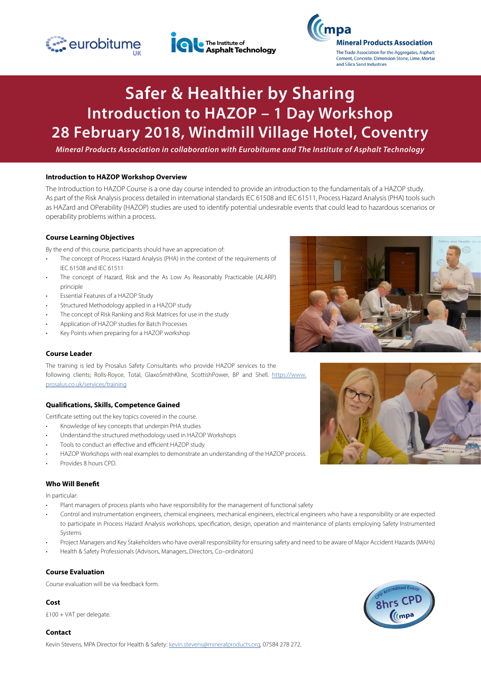





# **Safer & Healthier by Sharing Introduction to HAZOP – 1 Day Workshop 28 February 2018, Windmill Village Hotel, Coventry**

*Mineral Products Association in collaboration with Eurobitume and The Institute of Asphalt Technology*

#### **Introduction to HAZOP Workshop Overview**

The Introduction to HAZOP Course is a one day course intended to provide an introduction to the fundamentals of a HAZOP study. As part of the Risk Analysis process detailed in international standards IEC 61508 and IEC 61511, Process Hazard Analysis (PHA) tools such as HAZard and OPerability (HAZOP) studies are used to identify potential undesirable events that could lead to hazardous scenarios or operability problems within a process.

# **Course Learning Objectives**

By the end of this course, participants should have an appreciation of:

- The concept of Process Hazard Analysis (PHA) in the context of the requirements of IEC 61508 and IEC 61511
- The concept of Hazard, Risk and the As Low As Reasonably Practicable (ALARP) principle
- Essential Features of a HAZOP Study
- Structured Methodology applied in a HAZOP study
- The concept of Risk Ranking and Risk Matrices for use in the study
- Application of HAZOP studies for Batch Processes
- Key Points when preparing for a HAZOP workshop

# **Course Leader**

The training is led by Prosalus Safety Consultants who provide HAZOP services to the following clients; Rolls-Royce, Total, GlaxoSmithKline, ScottishPower, BP and Shell. [https://www.](https://www.prosalus.co.uk/services/training) [prosalus.co.uk/services/training](https://www.prosalus.co.uk/services/training)

# **Qualifications, Skills, Competence Gained**

Certificate setting out the key topics covered in the course.

- Knowledge of key concepts that underpin PHA studies
- Understand the structured methodology used in HAZOP Workshops
- Tools to conduct an effective and efficient HAZOP study
- HAZOP Workshops with real examples to demonstrate an understanding of the HAZOP process.
- Provides 8 hours CPD.

# **Who Will Benefit**

In particular:

- Plant managers of process plants who have responsibility for the management of functional safety
- Control and instrumentation engineers, chemical engineers, mechanical engineers, electrical engineers who have a responsibility or are expected to participate in Process Hazard Analysis workshops, specification, design, operation and maintenance of plants employing Safety Instrumented Systems
- Project Managers and Key Stakeholders who have overall responsibility for ensuring safety and need to be aware of Major Accident Hazards (MAHs)
- Health & Safety Professionals (Advisors, Managers, Directors, Co–ordinators)

# **Course Evaluation**

Course evaluation will be via feedback form.

# **Cost**

£100 + VAT per delegate.

#### **Contact**